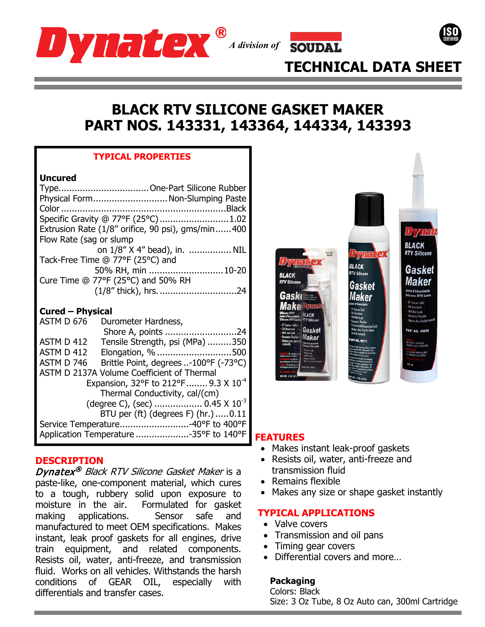



# **TECHNICAL DATA SHEET**

# **BLACK RTV SILICONE GASKET MAKER PART NOS. 143331, 143364, 144334, 143393**

## **TYPICAL PROPERTIES**

### **Uncured**

| Physical Form Non-Slumping Paste                  |                              |
|---------------------------------------------------|------------------------------|
|                                                   |                              |
| Specific Gravity @ 77°F (25°C)1.02                |                              |
| Extrusion Rate (1/8" orifice, 90 psi), gms/min400 |                              |
| Flow Rate (sag or slump                           |                              |
|                                                   | on 1/8" X 4" bead), in.  NIL |
| Tack-Free Time @ 77°F (25°C) and                  |                              |
|                                                   | 50% RH, min  10-20           |
| Cure Time @ 77°F (25°C) and 50% RH                |                              |
|                                                   |                              |

## **Cured – Physical**

| ASTM D 676                                        | Durometer Hardness,                              |
|---------------------------------------------------|--------------------------------------------------|
|                                                   | Shore A, points 24                               |
| ASTM D 412                                        | Tensile Strength, psi (MPa) 350                  |
| ASTM D 412                                        | Elongation, % 500                                |
| ASTM D 746                                        | Brittle Point, degrees -100°F (-73°C)            |
|                                                   | ASTM D 2137A Volume Coefficient of Thermal       |
|                                                   | Expansion, 32°F to 212°F  9.3 X 10 <sup>-4</sup> |
|                                                   | Thermal Conductivity, cal/(cm)                   |
| (degree C), (sec)  0.45 $\times$ 10 <sup>-3</sup> |                                                  |
|                                                   | BTU per (ft) (degrees F) (hr.) 0.11              |
|                                                   | Service Temperature40°F to 400°F                 |
|                                                   | Application Temperature 35°F to 140°F            |

## **DESCRIPTION**

Dynatex<sup>®</sup> Black RTV Silicone Gasket Maker is a paste-like, one-component material, which cures to a tough, rubbery solid upon exposure to moisture in the air. Formulated for gasket moisture in the air. making applications. Sensor safe and manufactured to meet OEM specifications. Makes instant, leak proof gaskets for all engines, drive train equipment, and related components. Resists oil, water, anti-freeze, and transmission fluid. Works on all vehicles. Withstands the harsh conditions of GEAR OIL, especially with differentials and transfer cases.



# **FEATURES**

- Makes instant leak-proof gaskets
- Resists oil, water, anti-freeze and transmission fluid
- Remains flexible
- Makes any size or shape gasket instantly

# **TYPICAL APPLICATIONS**

- Valve covers
- Transmission and oil pans
- Timing gear covers
- Differential covers and more…

# **Packaging**

Colors: Black Size: 3 Oz Tube, 8 Oz Auto can, 300ml Cartridge